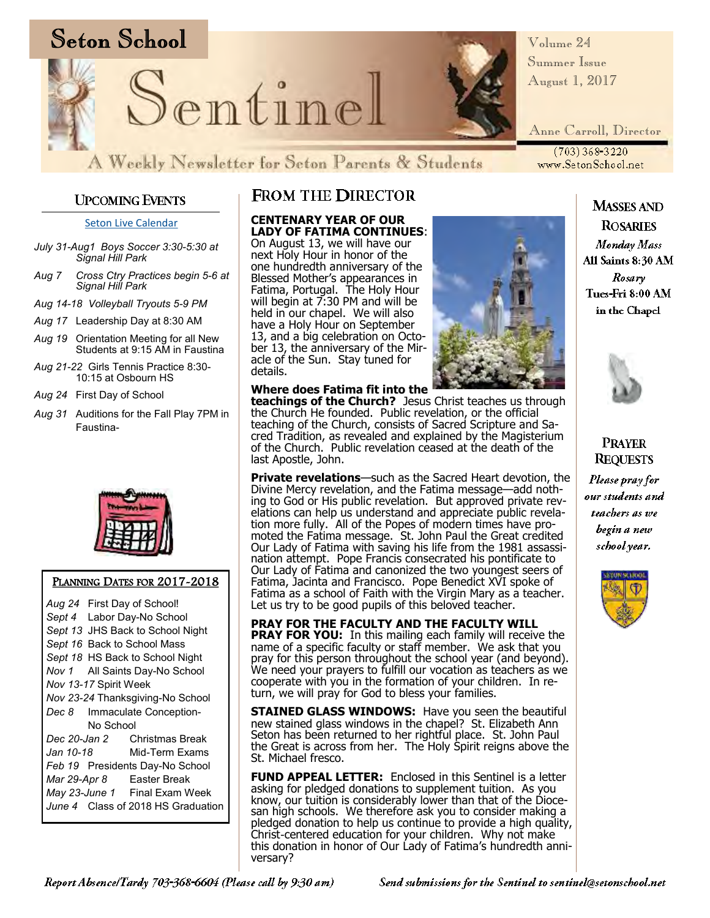

*Volume 24 Summer Issue August 1, 2017*

*Anne Carroll, Director*

(703) 368-3220<br>www.SetonSchool.net

### **UPCOMING EVENTS**

[Seton Live Calendar](https://docs.google.com/dohttps:/docs.google.com/document/d/1sU1jmgtzKJYKJmHlSt6Fe49T-P-0Qv6vDf1qy4AbYcg/edit?usp=sharing)

- *July 31-Aug1 Boys Soccer 3:30-5:30 at Signal Hill Park*
- *Aug 7 Cross Ctry Practices begin 5-6 at Signal Hill Park*
- *Aug 14-18 Volleyball Tryouts 5-9 PM*
- *Aug 17* Leadership Day at 8:30 AM
- *Aug 19* Orientation Meeting for all New Students at 9:15 AM in Faustina
- *Aug 21-22* Girls Tennis Practice 8:30- 10:15 at Osbourn HS
- *Aug 24* First Day of School
- *Aug 31* Auditions for the Fall Play 7PM in Faustina-



#### PLANNING DATES FOR 2017-2018

*Aug 24* First Day of School! *Sept 4* Labor Day-No School *Sept 13* JHS Back to School Night *Sept 16* Back to School Mass *Sept 18* HS Back to School Night *Nov 1* All Saints Day-No School *Nov 13-17* Spirit Week *Nov 23-24* Thanksgiving-No School *Dec 8* Immaculate Conception-No School *Dec 20-Jan 2* Christmas Break *Jan 10-18* Mid-Term Exams *Feb 19* Presidents Day-No School *Mar 29-Apr 8* Easter Break *May 23-June 1* Final Exam Week *June 4* Class of 2018 HS Graduation

### **FROM THE DIRECTOR**

**CENTENARY YEAR OF OUR LADY OF FATIMA CONTINUES**:

On August 13, we will have our next Holy Hour in honor of the one hundredth anniversary of the Blessed Mother's appearances in Fatima, Portugal. The Holy Hour will begin at  $7:30$  PM and will be held in our chapel. We will also have a Holy Hour on September 13, and a big celebration on October 13, the anniversary of the Miracle of the Sun. Stay tuned for details.



**Where does Fatima fit into the teachings of the Church?** Jesus Christ teaches us through the Church He founded. Public revelation, or the official teaching of the Church, consists of Sacred Scripture and Sacred Tradition, as revealed and explained by the Magisterium of the Church. Public revelation ceased at the death of the last Apostle, John.

**Private revelations**—such as the Sacred Heart devotion, the Divine Mercy revelation, and the Fatima message—add nothing to God or His public revelation. But approved private revelations can help us understand and appreciate public revelation more fully. All of the Popes of modern times have promoted the Fatima message. St. John Paul the Great credited Our Lady of Fatima with saving his life from the 1981 assassination attempt. Pope Francis consecrated his pontificate to Our Lady of Fatima and canonized the two youngest seers of Fatima, Jacinta and Francisco. Pope Benedict XVI spoke of Fatima as a school of Faith with the Virgin Mary as a teacher. Let us try to be good pupils of this beloved teacher.

**PRAY FOR THE FACULTY AND THE FACULTY WILL PRAY FOR YOU:** In this mailing each family will receive the name of a specific faculty or staff member. We ask that you pray for this person throughout the school year (and beyond). We need your prayers to fulfill our vocation as teachers as we cooperate with you in the formation of your children. In return, we will pray for God to bless your families.

**STAINED GLASS WINDOWS:** Have you seen the beautiful new stained glass windows in the chapel? St. Elizabeth Ann Seton has been returned to her rightful place. St. John Paul the Great is across from her. The Holy Spirit reigns above the St. Michael fresco.

**FUND APPEAL LETTER:** Enclosed in this Sentinel is a letter asking for pledged donations to supplement tuition. As you know, our tuition is considerably lower than that of the Diocesan high schools. We therefore ask you to consider making a pledged donation to help us continue to provide a high quality, Christ-centered education for your children. Why not make this donation in honor of Our Lady of Fatima's hundredth anniversary?

**ROSARIES** Monday Mass All Saints 8:30 AM Rosary Tues-Fri 8:00 AM in the Chapel

**MASSES AND** 



**PRAYER REQUESTS** Please pray for our students and teachers as we begin a new school year.

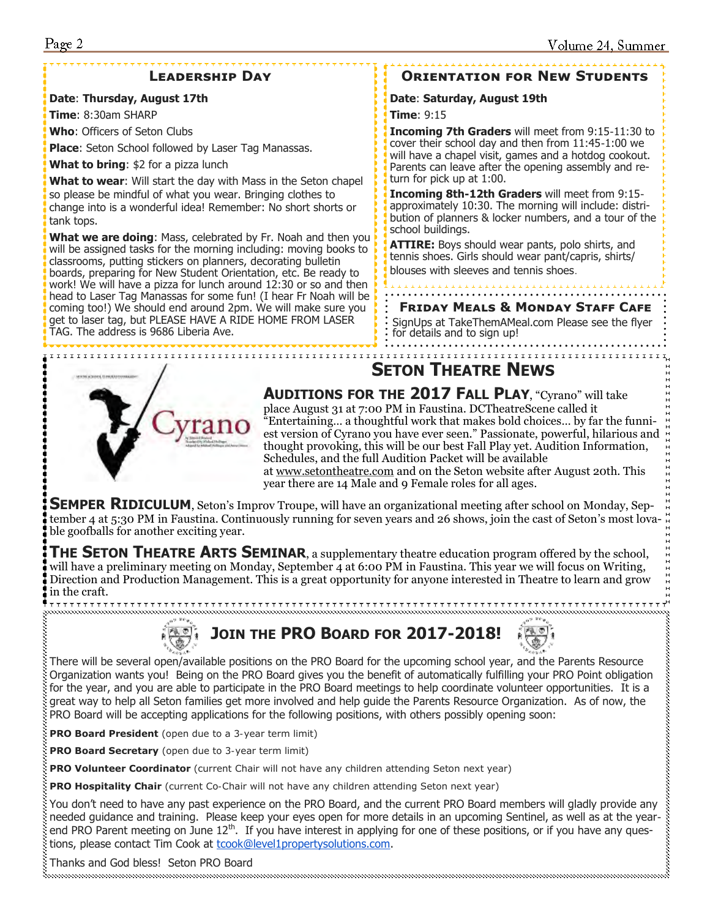### **Leadership Day**

#### **Date**: **Thursday, August 17th**

**Time**: 8:30am SHARP

**Who**: Officers of Seton Clubs

**Place**: Seton School followed by Laser Tag Manassas.

**What to bring**: \$2 for a pizza lunch

**What to wear**: Will start the day with Mass in the Seton chapel so please be mindful of what you wear. Bringing clothes to change into is a wonderful idea! Remember: No short shorts or tank tops.

**What we are doing**: Mass, celebrated by Fr. Noah and then you will be assigned tasks for the morning including: moving books to classrooms, putting stickers on planners, decorating bulletin boards, preparing for New Student Orientation, etc. Be ready to work! We will have a pizza for lunch around 12:30 or so and then head to Laser Tag Manassas for some fun! (I hear Fr Noah will be coming too!) We should end around 2pm. We will make sure you get to laser tag, but PLEASE HAVE A RIDE HOME FROM LASER TAG. The address is 9686 Liberia Ave.

### **Orientation for New Students**

#### **Date**: **Saturday, August 19th**

**Time**: 9:15

**Incoming 7th Graders** will meet from 9:15-11:30 to cover their school day and then from 11:45-1:00 we will have a chapel visit, games and a hotdog cookout. Parents can leave after the opening assembly and return for pick up at 1:00.

**Incoming 8th-12th Graders** will meet from 9:15 approximately 10:30. The morning will include: distribution of planners & locker numbers, and a tour of the school buildings.

**ATTIRE:** Boys should wear pants, polo shirts, and tennis shoes. Girls should wear pant/capris, shirts/ blouses with sleeves and tennis shoes.

#### **Friday Meals & Monday Staff Cafe**

SignUps at TakeThemAMeal.com Please see the flyer for details and to sign up!

### **SETON THEATRE NEWS**



**AUDITIONS FOR THE 2017 FALL PLAY**, "Cyrano" will take place August 31 at 7:00 PM in Faustina. DCTheatreScene called it "Entertaining… a thoughtful work that makes bold choices… by far the funniest version of Cyrano you have ever seen." Passionate, powerful, hilarious and thought provoking, this will be our best Fall Play yet. Audition Information, Schedules, and the full Audition Packet will be available at [www.setontheatre.com](http://www.setontheatre.com/) and on the Seton website after August 20th. This year there are 14 Male and 9 Female roles for all ages.

**SEMPER RIDICULUM**, Seton's Improv Troupe, will have an organizational meeting after school on Monday, September 4 at 5:30 PM in Faustina. Continuously running for seven years and 26 shows, join the cast of Seton's most lovable goofballs for another exciting year.

**THE SETON THEATRE ARTS SEMINAR**, a supplementary theatre education program offered by the school, will have a preliminary meeting on Monday, September 4 at 6:00 PM in Faustina. This year we will focus on Writing, Direction and Production Management. This is a great opportunity for anyone interested in Theatre to learn and grow in the craft.



**JOIN THE PRO BOARD FOR 2017-2018!**



There will be several open/available positions on the PRO Board for the upcoming school year, and the Parents Resource Organization wants you! Being on the PRO Board gives you the benefit of automatically fulfilling your PRO Point obligation for the year, and you are able to participate in the PRO Board meetings to help coordinate volunteer opportunities. It is a great way to help all Seton families get more involved and help guide the Parents Resource Organization. As of now, the PRO Board will be accepting applications for the following positions, with others possibly opening soon:

**PRO Board President** (open due to a 3-year term limit)

**PRO Board Secretary** (open due to 3-year term limit)

**PRO Volunteer Coordinator** (current Chair will not have any children attending Seton next year)

**PRO Hospitality Chair** (current Co-Chair will not have any children attending Seton next year)

You don't need to have any past experience on the PRO Board, and the current PRO Board members will gladly provide any needed guidance and training. Please keep your eyes open for more details in an upcoming Sentinel, as well as at the yearend PRO Parent meeting on June 12<sup>th</sup>. If you have interest in applying for one of these positions, or if you have any questions, please contact Tim Cook at [tcook@level1propertysolutions.com.](mailto:tcook@level1propertysolutions.com)

Thanks and God bless! Seton PRO Board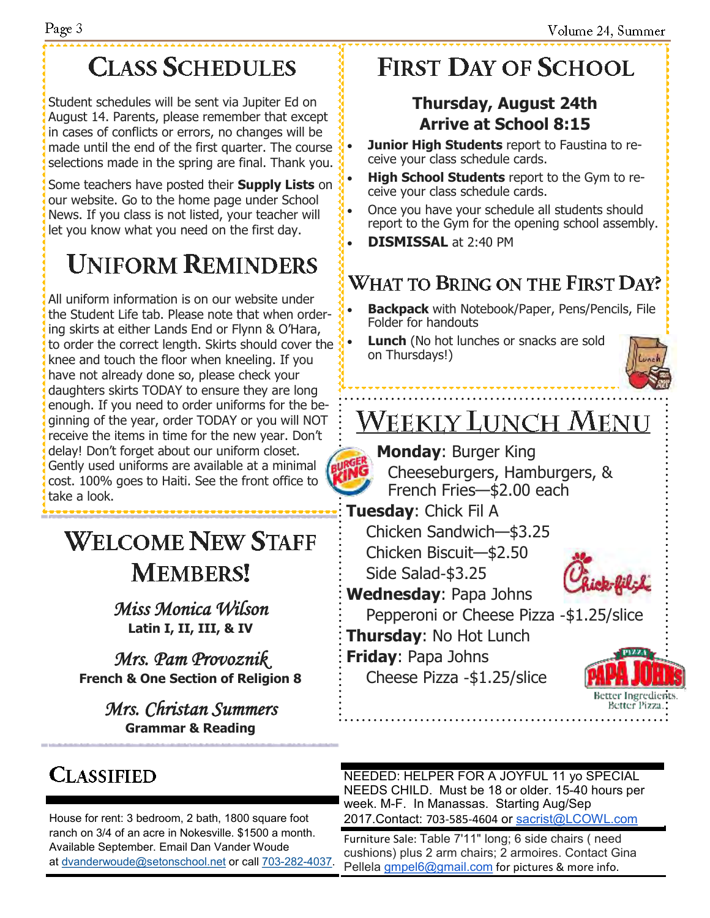# **CLASS SCHEDULES**

Student schedules will be sent via Jupiter Ed on August 14. Parents, please remember that except in cases of conflicts or errors, no changes will be made until the end of the first quarter. The course selections made in the spring are final. Thank you.

Some teachers have posted their **Supply Lists** on our website. Go to the home page under School News. If you class is not listed, your teacher will let you know what you need on the first day.

# **UNIFORM REMINDERS**

All uniform information is on our website under the Student Life tab. Please note that when ordering skirts at either Lands End or Flynn & O'Hara, to order the correct length. Skirts should cover the knee and touch the floor when kneeling. If you have not already done so, please check your daughters skirts TODAY to ensure they are long enough. If you need to order uniforms for the beginning of the year, order TODAY or you will NOT receive the items in time for the new year. Don't delay! Don't forget about our uniform closet. Gently used uniforms are available at a minimal cost. 100% goes to Haiti. See the front office to take a look.

# **WELCOME NEW STAFF MEMBERS!**

*Miss Monica Wilson* **Latin I, II, III, & IV**

*Mrs. Pam Provoznik*  **French & One Section of Religion 8**

> *Mrs. Christan Summers*  **Grammar & Reading**

# **FIRST DAY OF SCHOOL**

## **Thursday, August 24th Arrive at School 8:15**

**Junior High Students** report to Faustina to receive your class schedule cards.

- **High School Students** report to the Gym to receive your class schedule cards.
- Once you have your schedule all students should report to the Gym for the opening school assembly.
- **DISMISSAL** at 2:40 PM

## **WHAT TO BRING ON THE FIRST DAY?**

• **Backpack** with Notebook/Paper, Pens/Pencils, File Folder for handouts

**Lunch** (No hot lunches or snacks are sold on Thursdays!)



# **WEEKLY LUNCH MENU**

**Monday**: Burger King

Cheeseburgers, Hamburgers, & French Fries—\$2.00 each

**Tuesday**: Chick Fil A Chicken Sandwich—\$3.25 Chicken Biscuit—\$2.50 Side Salad-\$3.25

**Wednesday**: Papa Johns

Pepperoni or Cheese Pizza -\$1.25/slice

**Thursday**: No Hot Lunch

**Friday**: Papa Johns Cheese Pizza -\$1.25/slice



**CLASSIFIED** 

ranch on 3/4 of an acre in Nokesville. \$1500 a month. Available September. Email Dan Vander Woude at [dvanderwoude@setonschool.net](mailto:dvanderwoude@setonschool.net) or call [703-282-4037.](tel:703-282-4037)

NEEDED: HELPER FOR A JOYFUL 11 yo SPECIAL NEEDS CHILD. Must be 18 or older. 15-40 hours per week. M-F. In Manassas. Starting Aug/Sep House for rent: 3 bedroom, 2 bath, 1800 square foot 2017.Contact: 703-585-4604 or [sacrist@LCOWL.com](mailto:sacrist@LCOWL.com)

> Furniture Sale: Table 7'11" long; 6 side chairs ( need cushions) plus 2 arm chairs; 2 armoires. Contact Gina Pellela *gmpel6@gmail.com* for pictures & more info.